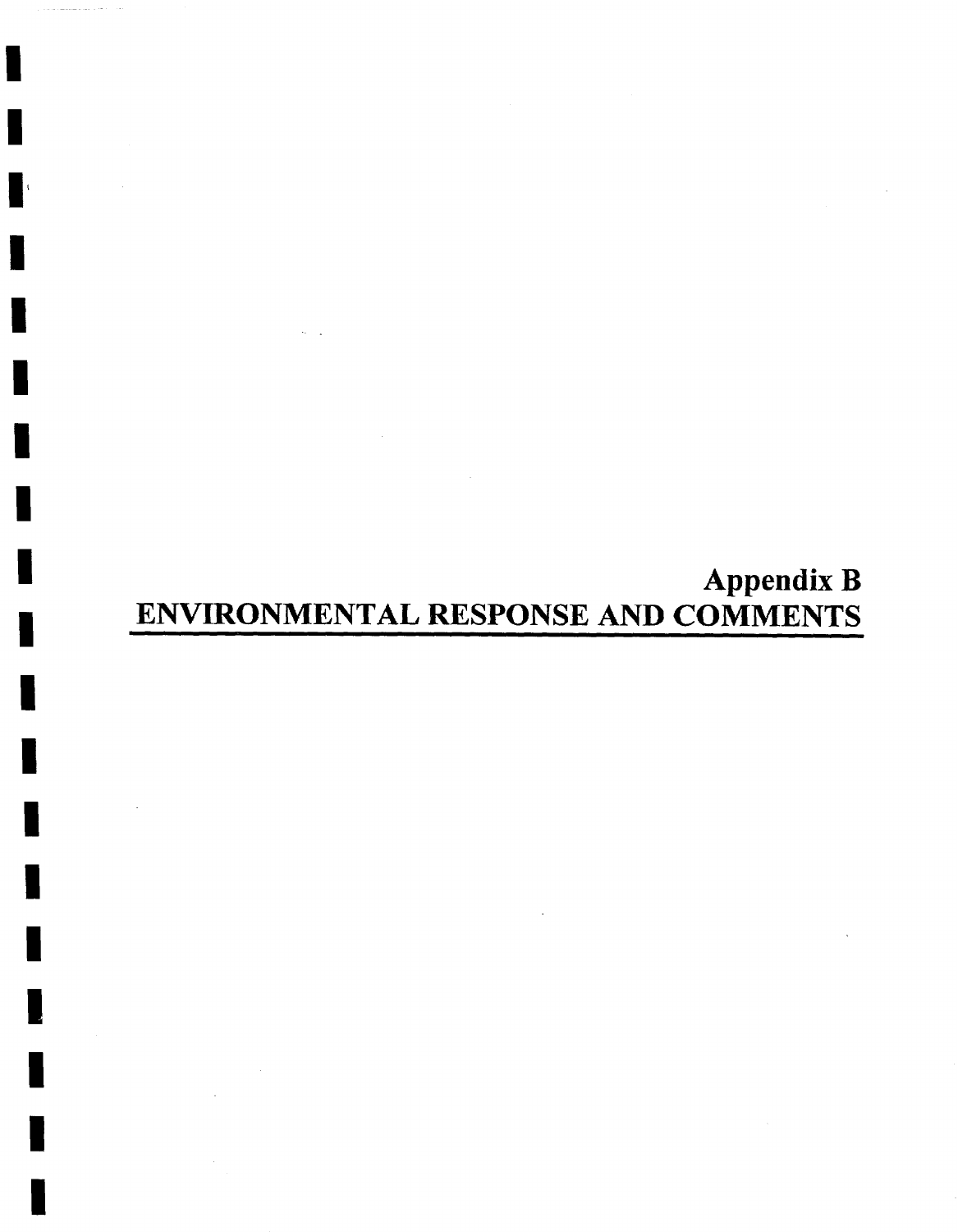# **Appendix B**  ENVIRONMENTAL RESPONSE AND COMMENTS

I I

I

I

l'

I

I

I

I

I

I

I

I

I

I

I

I

I

I

I

I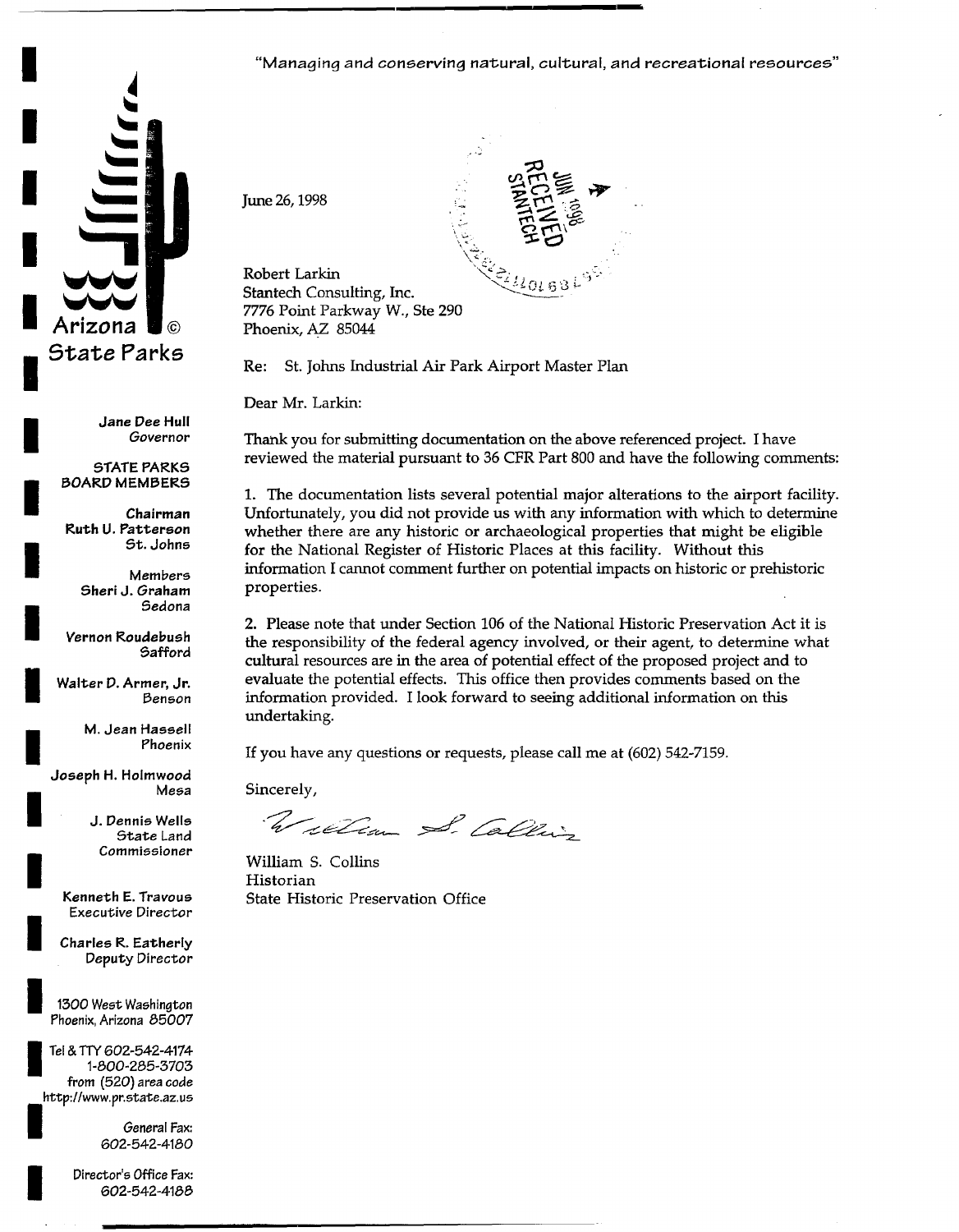

*I Jane Dee* **Hull**  *Governor* 

**STATE PARK5 I DOARI::) MEMDERS** 

**Chairman Ruth U. Patterson**<br>*<u>9t. Johns</u>* 

> *Members*  **Sheri d.** *Graham* **i ~edona**

*Vernon* **Roudebush 5afford** 

**I Walter P. Armer, Jr. Denson** 

> **M. Jean Hassell**  I **Phoenix**

Joseph H. Holmwood **Mesa** 

> **J. Dennis Wells** State Land *Commissioner !*

**Kenneth E.** *Travous Executive Director* 

*I Charles* **R. Eatherly**  Deputy *Director* 

1300 West Washington Phoenix, Arizona 85007

**I** T el & TTY *602-542-4174*  1-800-285-3703 **from** (520) area code http://www.pr.state.az.us

> *I General* Fax: 602-542-4180

Director's Office Fax: *602-542-4188*  "Managing and conserving natural, cultural, and recreational resources"



Robert Larkin Stantech Consulting, Inc. 7776 Point Parkway W., Ste 290 Phoenix, AZ 85044

**Re:** St. Johns Industrial Air Park Airport Master Plan

Dear Mr. Larkin:

June 26, 1998

Thank you for submitting documentation on the above referenced project. I have reviewed the material pursuant to 36 CFR Part 800 and have the following comments:

1. The documentation lists several potential major alterations to the airport facility. Unfortunately, you did not provide us with any information with which to determine whether there are any historic or archaeological properties that might be eligible **for** the National Register of Historic Places at this facility. Without this information I cannot comment further on potential impacts on historic or prehistoric properties.

2. Please note that under Section 106 of the National Historic Preservation Act it is the responsibility of the federal agency involved, or their agent, to determine what cultural resources are in the area of potential effect of the proposed project and to evaluate the potential effects. This office then provides comments based on the information provided. I look forward to seeing additional information on this undertaking.

If you have any questions or requests, please call me at (602) 542-7159.

Sincerely,

William S. Calling

William S. Collins Historian State Historic Preservation Office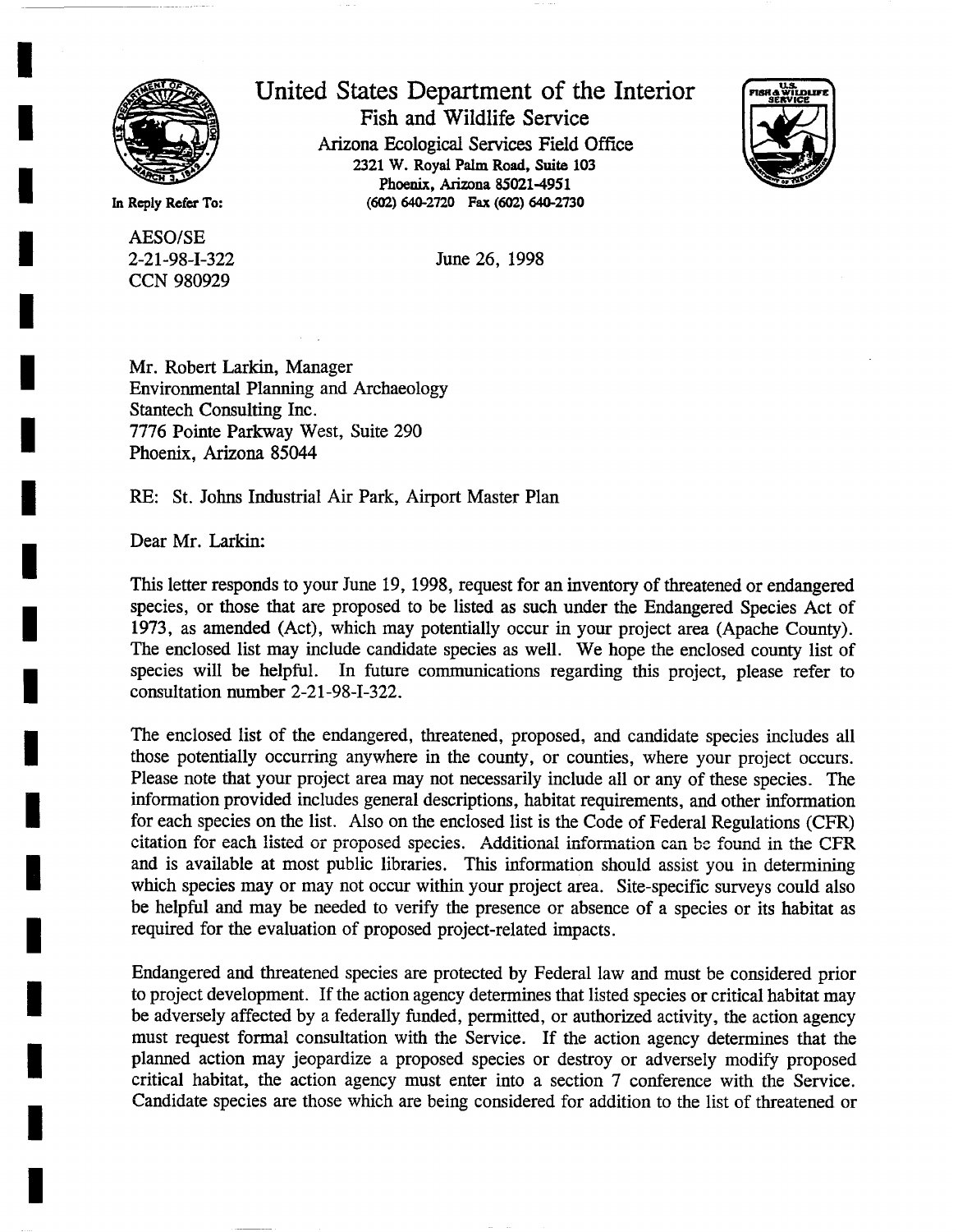

**I** 

**I** 

**I** 

**I** 

**I** 

**I** 

**I** 

**I** 

**I** 

**I** 

**I** 

**I** 

**I** 

**I** 

**I** 

**I** 

AESO/SE 2-21-98-I-322 CCN 980929

United States Department of the Interior Fish and Wildlife Service Arizona Ecological Services Field Office 2321 W. Royal Palm Road, Suite 103 Phoenix, Arizona 85021-4951 In Reply Refer To: (602) 640-2720 Fax (602) 640-2730



June 26, 1998

Mr. Robert Larkin, Manager Environmental Planning and Archaeology Stantech Consulting Inc. 7776 Pointe Parkway West, Suite 290 Phoenix, Arizona 85044

RE: St. Johns Industrial Air Park, Airport Master Plan

Dear Mr. Larkin:

This letter responds to your June 19, 1998, request for an inventory of threatened or endangered species, or those that are proposed to be listed as such under the Endangered Species Act of 1973, as amended (Act), which may potentially occur in your project area (Apache County). The enclosed list may include candidate species as well. We hope the enclosed county list of species will be helpful. In future communications regarding this project, please refer to consultation number 2-21-98-I-322.

The enclosed list of the endangered, threatened, proposed, and candidate species includes all those potentially occurring anywhere in the county, or counties, where your project occurs. Please note that your project area may not necessarily include all or any of these species. The information provided includes general descriptions, habitat requirements, and other information for each species on the list. Also on the enclosed list is the Code of Federal Regulations (CFR) citation for each listed or proposed species. Additional information can be found in the CFR and is available at most public libraries. This information should assist you in determining which species may or may not occur within your project area. Site-specific surveys could also be helpful and may be needed to verify the presence or absence of a species or its habitat as required for the evaluation of proposed project-related impacts.

Endangered and threatened species are protected by Federal law and must be considered prior to project development. If the action agency determines that listed species or critical habitat may be adversely affected by a federally funded, permitted, or authorized activity, the action agency must request formal consultation with the Service. If the action agency determines that the planned action may jeopardize a proposed species or destroy or adversely modify proposed critical habitat, the action agency must enter into a section 7 conference with the Service. Candidate species are those which are being considered for addition to the list of threatened or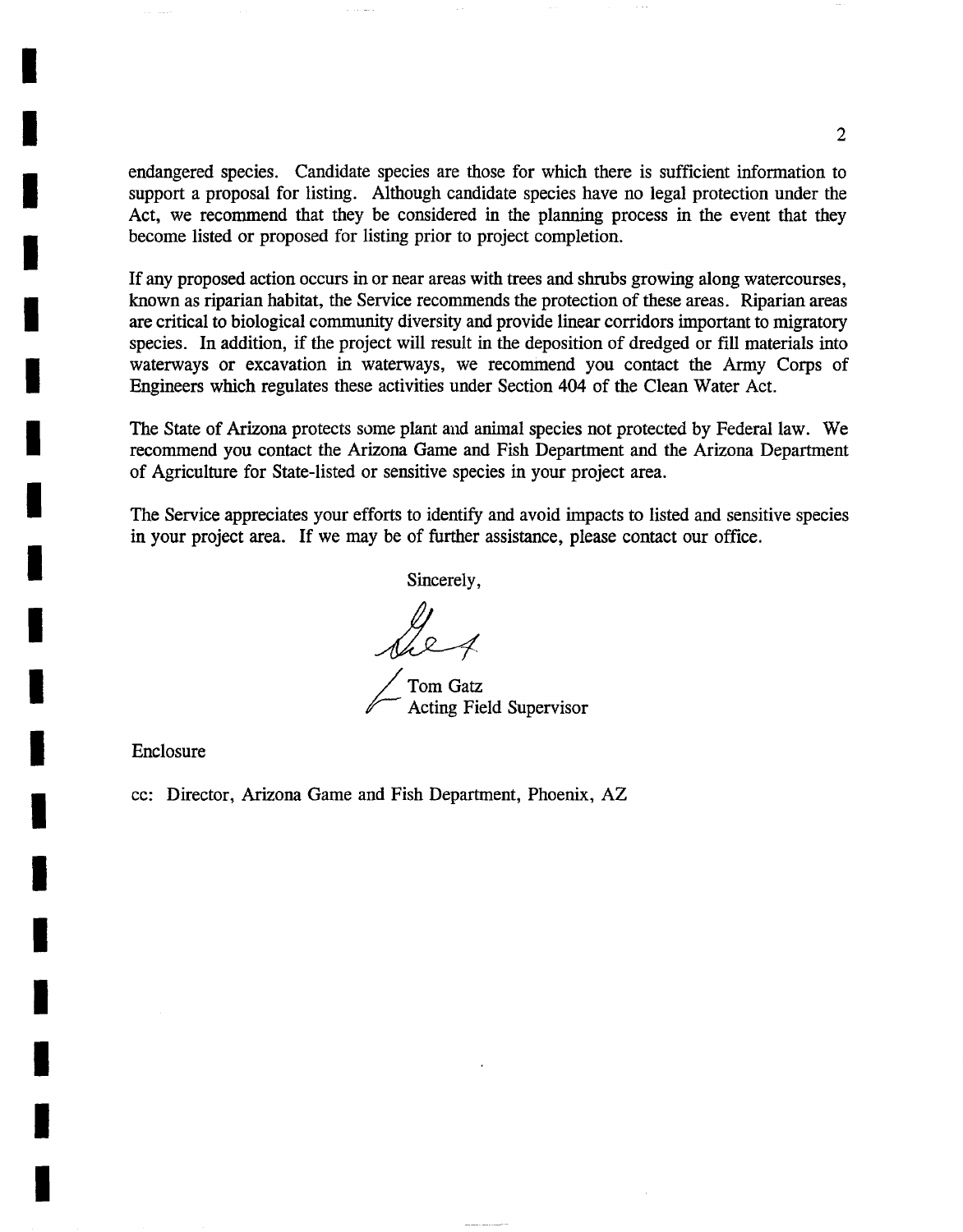endangered species. Candidate species are those for which there is sufficient information to support a proposal for listing. Although candidate species have no legal protection under the Act, we recommend that they be considered in the planning process in the event that they become listed or proposed for listing prior to project completion.

If any proposed action occurs in or near areas with trees and shrubs growing along watercourses, known as riparian habitat, the Service recommends the protection of these areas. Riparian areas are critical to biological community diversity and provide linear corridors important to migratory species. In addition, if the project will result in the deposition of dredged or fill materials into waterways or excavation in waterways, we recommend you contact the Army Corps of Engineers which regulates these activities under Section 404 of the Clean Water Act.

The State of Arizona protects some plant and animal species not protected by Federal law. We recommend you contact the Arizona Game and Fish Department and the Arizona Department of Agriculture for State-listed or sensitive species in your project area.

The Service appreciates your efforts to identify and avoid impacts to listed and sensitive species in your project area. If we may be of further assistance, please contact our office.

Sincerely,

Tom Gatz Acting Field Supervisor

Enclosure

**I** 

**I** 

**I** 

**I** 

**I** 

**I** 

**I** 

**I** 

**I** 

**I** 

**I** 

**I** 

**I** 

**I** 

**I** 

**I** 

**I** 

**I** 

**I** 

cc: Director, Arizona Game and Fish Department, Phoenix, AZ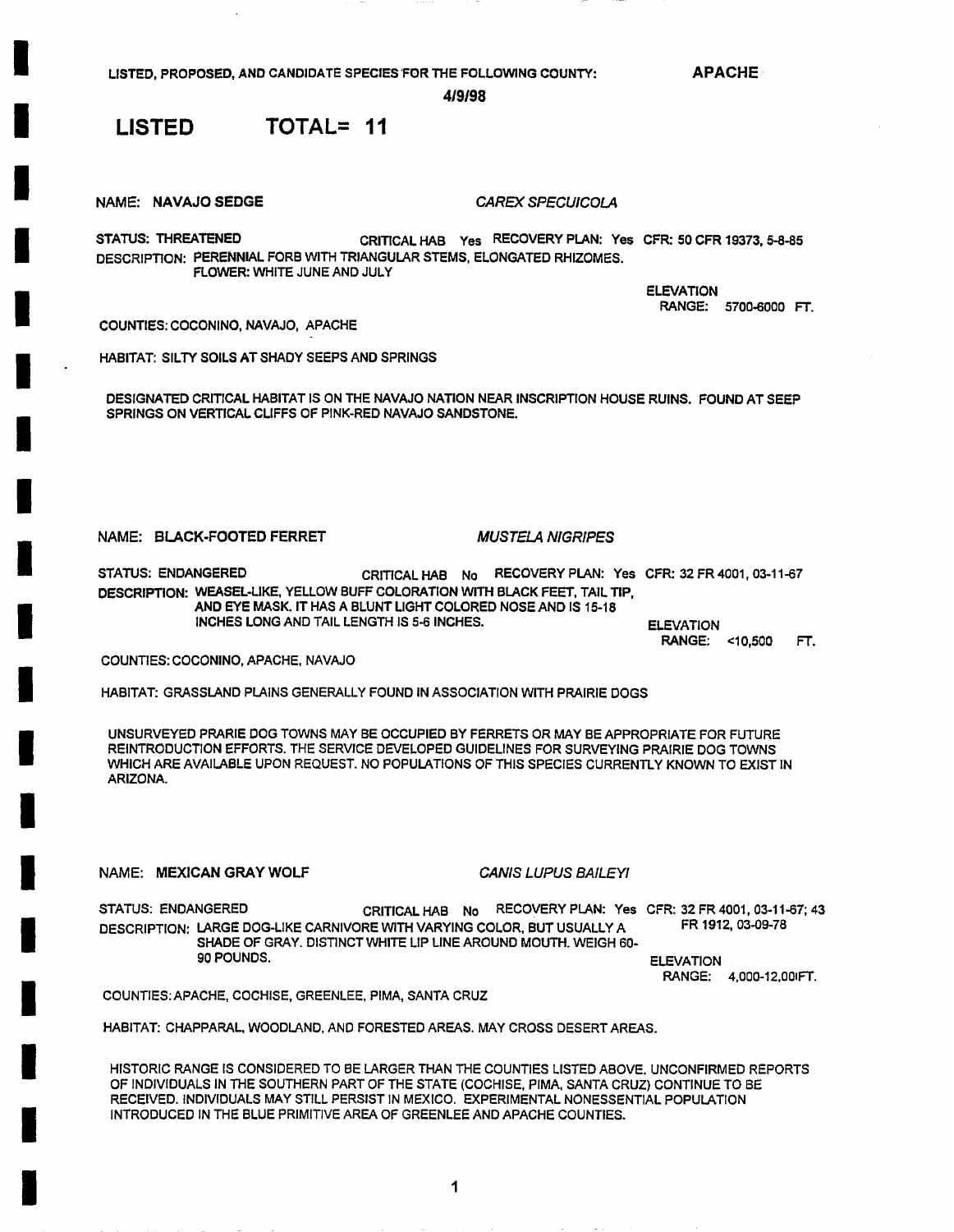**APACHE** 

**4/9/98** 

## **LISTED TOTAL= 11**

**NAME: NAVAJO SEDGE** *CAREX SPECUICOLA* 

**STATUS: THREATENED** CRITICALHAB Yes RECOVERY PLAN: Yes CFR: 50CFR 19373, 5-8-85 DESCRIPTION: PERENNIAL FORB WITH TRIANGULAR STEMS, ELONGATED RHIZOMES. FLOWER: WHITE JUNE AND JULY

> ELEVATION **RANGE:** 5700-6000 FT.

COUNTIES: COCONINO, NAVAJO, APACHE

HABITAT: SILTY SOILS AT SHADY SEEPS AND SPRINGS

DESIGNATED CRITICAL HABITAT IS ON THE NAVAJO NATION NEAR INSCRIPTION HOUSE RUINS. FOUND AT SEEP SPRINGS ON VERTICAL CLIFFS OF PINK-RED NAVAJO SANDSTONE.

### NAME: BLACK-FOOTED FERRET *MUSTELA N/GRIPES*

STATUS: ENDANGERED CRITICAL HAB No RECOVERY PLAN: Yes CFR: 32 FR 4001, 03-11-67 **DESCRIPTION:** WEASEL-LIKE, YELLOW BUFF COLORATION WITH BLACK FEET, TAIL TIP, **AND EYE** MASK. IT HAS A BLUNT LIGHT COLORED NOSE AND IS 15-18 **INCHES** LONG AND TAIL LENGTH IS 5-6 INCHES.

ELEVATION RANGE: <10,500 FT.

COUNTIES: COCONINO, APACHE, NAVAJO

HABITAT: GRASSLAND PLAINS GENERALLY FOUND IN ASSOCIATION WITH PRAIRIE DOGS

UNSURVEYED PRARIE DOG TOWNS MAY BE OCCUPIED BY FERRETS OR MAY BE APPROPRIATE FOR FUTURE REINTRODUCTION EFFORTS. THE SERVICE DEVELOPED GUIDELINES FOR SURVEYING PRAIRIE DOG TOWNS WHICH ARE AVAILABLE UPON REQUEST. NO POPULATIONS OF THIS SPECIES CURRENTLY KNOWN TO EXIST IN ARIZONA.

NAME: MEXICAN GRAY WOLF *CANIS LUPUS BAILEY/* 

STATUS: ENDANGERED CRITICAL HAB No RECOVERY PLAN: Yes CFR: 32 FR 4001, 03-11-67; 43<br>DESCRIPTION: LARGE DOG-LIKE CARNIVORE WITH VARYING COLOR BUT USUALLY A FR 1912, 03-09-78 DESCRIPTION: LARGE DOG-LIKE CARNIVORE WITH VARYING COLOR, BUT USUALLY A SHADE OF GRAY. DISTINCT WHITE LIP LINE AROUND MOUTH. WEIGH 60-<br>90 POUNDS. **ELEVATION** 

RANGE: 4,000-12,00 FT.

COUNTIES: APACHE, COCHISE, GREENLEE, PIMA, SANTA CRUZ

HABITAT: CHAPPARAL, WOODLAND, AND FORESTED AREAS. MAY CROSS DESERT AREAS.

HISTORIC RANGE IS CONSIDERED TO BE LARGER THAN THE COUNTIES LISTED ABOVE. UNCONFIRMED REPORTS OF INDIVIDUALS IN THE SOUTHERN PART OF THE STATE (COCHISE, PIMA, SANTA CRUZ) CONTINUE TO BE RECEIVED. INDIVIDUALS MAY STILL PERSIST IN MEXICO. EXPERIMENTAL NONESSENTIAL POPULATION INTRODUCED IN THE BLUE PRIMITIVE AREA OF GREENLEE AND APACHE COUNTIES.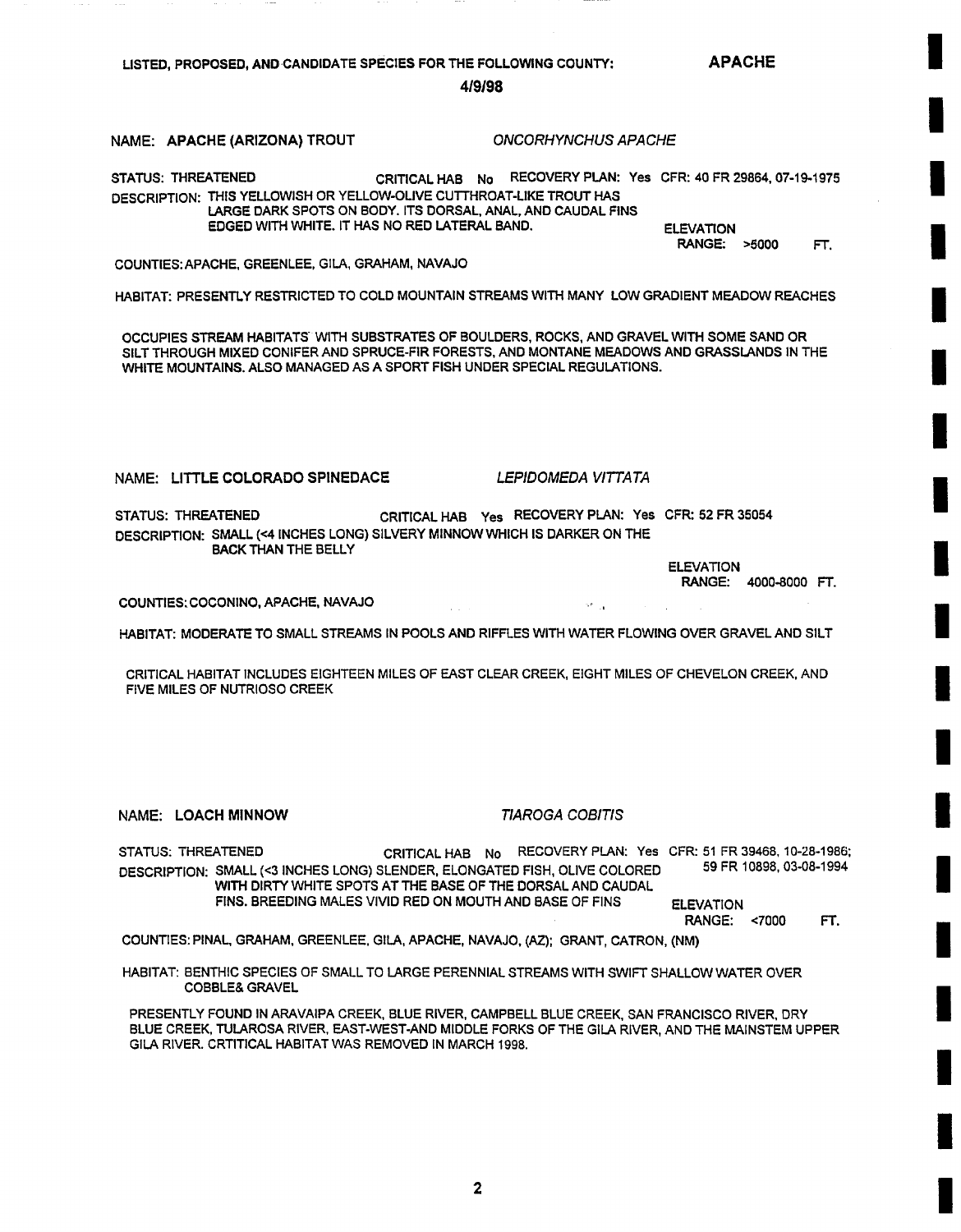**APACHE** 

419/98

#### NAME: APACHE(ARIZONA)TROUT *ONCORHYNCHUSAPACHE*

STATUS: THREATENED CRITICAL HAB No RECOVERY PLAN: Yes CFR: 40 FR 29864, 07-19-1975 DESCRIPTION: THIS YELLOWISH OR YELLOW-OLIVE CUTTHROAT-LIKE TROUT HAS LARGE DARK SPOTS ON BODY. ITS DORSAL, ANAL, AND CAUDAL FINS EDGED WITH WHITE. IT HAS NO RED LATERAL BAND. ELEVATION

RANGE: >5000 FT.

COUNTIES:APACHE, GREENLEE, GILA, GRAHAM, NAVAJO

HABITAT: PRESENTLY RESTRICTED TO COLD MOUNTAIN STREAMS WITH MANY LOW GRADIENT MEADOW REACHES

OCCUPIES STREAM HABITATS WITH SUBSTRATES OF BOULDERS, ROCKS, AND GRAVEL WITH SOME SAND OR SILT THROUGH MIXED CONIFER AND SPRUCE-FIR FORESTS, AND MONTANE MEADOWS AND GRASSLANDS IN THE WHITE MOUNTAINS. ALSO MANAGED AS A SPORT FISH UNDER SPECIAL REGULATIONS.

NAME: LITTLE COLORADO SPINEDACE *LEPIDOMEDA VITTA TA* 

se la

STATUS: THREATENED DESCRIPTION: SMALL (<4 INCHES LONG) SILVERY MINNOW WHICH IS DARKER ON THE BACK THAN THE BELLY CRITICAL HAB Yes RECOVERY PLAN: Yes CFR: 52 FR 35054

> ELEVATION RANGE: 4000-8000 FT.

COUNTIES:COCONINO, APACHE, NAVAJO

HABITAT: MODERATE TO SMALL STREAMS IN POOLS AND RIFFLES WITH WATER FLOWING OVER GRAVEL AND SILT

CRITICAL HABITAT INCLUDES EIGHTEEN MILES OF EAST CLEAR CREEK, EIGHT MILES OF CHEVELON CREEK, AND FIVE MILES OF NUTRIOSO CREEK

NAME: LOACH MINNOW *TIAROGA COBITIS* 

STATUS: THREATENED CRITICAL HAB No RECOVERY PLAN: Yes CFR: 51 FR 39468, 10-28-1986; DESCRIPTION: SMALL (<3 INCHES LONG) SLENDER, ELONGATED FISH, OLIVE COLORED WITH DIRTY WHITE SPOTS AT THE BASE OF THE DORSAL AND CAUDAL FINS. BREEDING MALES VIVID RED ON MOUTH AND BASE OF FINS ELEVATION 59 FR 10898, 03-08-1994

RANGE: <7000 FT.

COUNTIES: PINAL, GRAHAM, GREENLEE, GILA, APACHE, NAVAJO, (AZ); GRANT, CATRON, (NM)

HABITAT: BENTHIC SPECIES OF SMALL TO LARGE PERENNIAL STREAMS WITH SWIFT SHALLOW WATER OVER COBBLE& GRAVEL

PRESENTLY FOUND IN ARAVAIPA CREEK, BLUE RIVER, CAMPBELL BLUE CREEK, SAN FRANCISCO RIVER, DRY BLUE CREEK, TULAROSA RIVER, EAST-WEST-AND MIDDLE FORKS OF THE GILA RIVER, AND THE MAINSTEM UPPER GILA RIVER. CRTITICAL HABITAT WAS REMOVED IN MARCH 1998.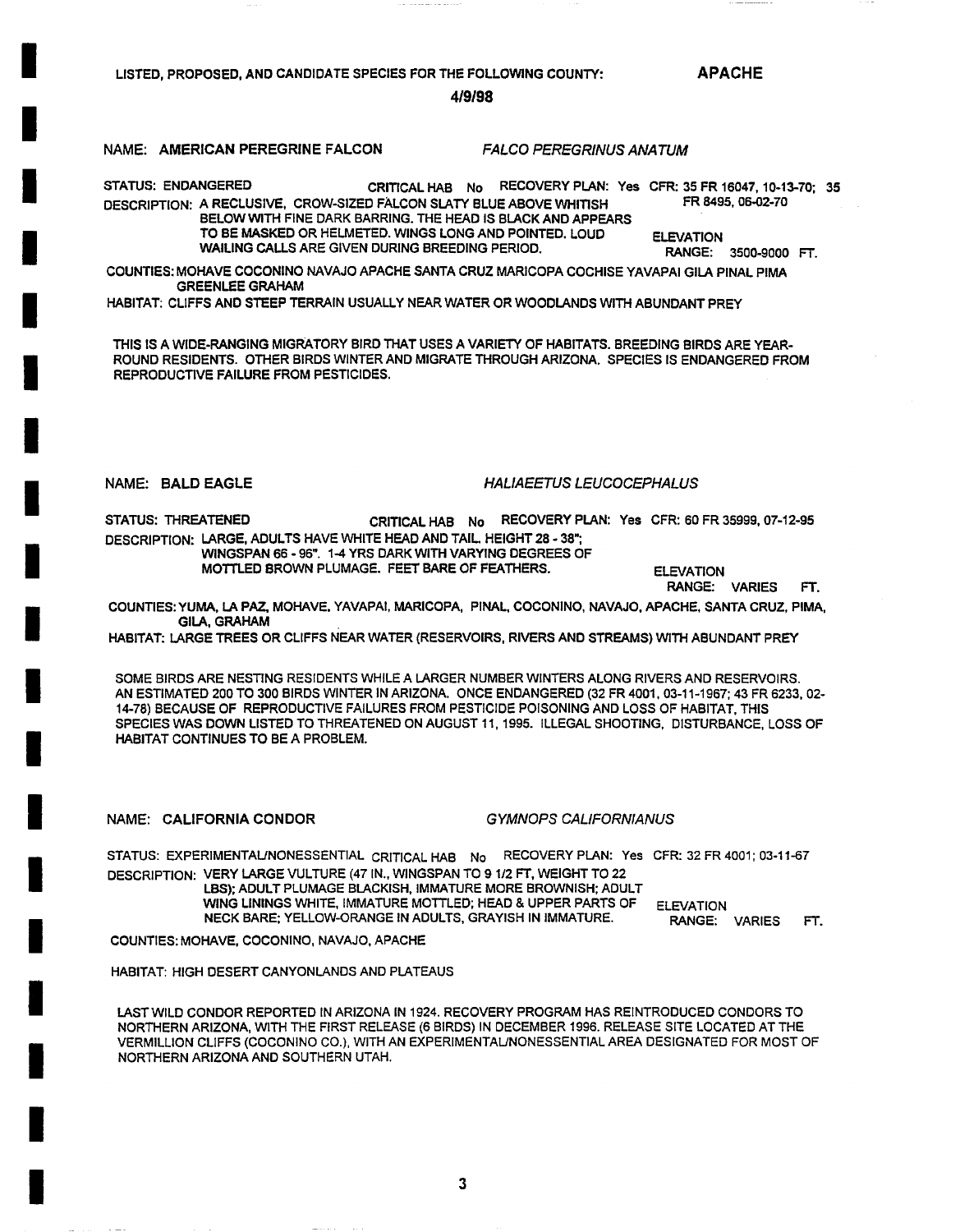**APACHE** 

**4•9•98** 

### **NAME: AMERICAN PEREGRINE FALCON** *FALCO PEREGRINUS ANA TUM*

**I** 

**I** 

**I** 

**I** 

**I** 

**I** 

**I** 

**I** 

**I** 

**i** 

**I** 

**I** 

**I** 

**I** 

**I** 

**I** 

**I** 

**I** 

**I** 

STATUS: ENDANGERED CRITICAL HAB No RECOVERY PLAN: Yes CFR: 35 FR 16047, 10-13-70; **35**  DESCRIPTION: A RECLUSIVE, CROW-SIZED FALCON SLATY BLUE ABOVE WHITISH FR 8495, 06-02-70 BELOWWITH FINE DARK BARRING. THE HEAD IS BLACK AND APPEARS

TO BE MASKED OR HELMETED. WINGS LONG AND POINTED. LOUD ELEVATION **WAILING** CALLS ARE GIVEN DURING BREEDING PERIOD. RANGE: 3500-9000 FT.

COUNTIES: MOHAVE COCONINO NAVAJO APACHE SANTA CRUZ MARICOPA COCHISE YAVAPAI GILA PINAL PIMA GREENLEE GRAHAM

HABITAT: CLIFFS AND STEEP TERRAIN USUALLY NEAR WATER OR WOODLANDS WITH ABUNDANT PREY

THIS IS A WIDE-RANGING MIGRATORY BIRD THAT USES A VARIETY OF HABITATS. BREEDING BIRDS ARE YEAR-ROUND RESIDENTS. OTHER BIRDS WINTER AND MIGRATE THROUGH ARIZONA. SPECIES IS ENDANGERED FROM REPRODUCTIVE FAILURE FROM PESTICIDES.

#### **NAME: BALD EAGLE** *HALIAEETUS LEUCOCEPHALUS*

STATUS: THREATENED CRITICAL HAB No RECOVERY PLAN: Yes CFR: 60 FR 35999, 07-12-95 DESCRIPTION: LARGE, ADULTS HAVE WHITE HEAD AND TAIL HEIGHT 28 - 38"; WINGSPAN 66 - 96". 1-4 YRS DARK WITH VARYING DEGREES OF

MOTTLED BROWN PLUMAGE. FEET BARE OF FEATHERS. ELEVATION

RANGE: VARIES FT.

COUNTIES: YUMA, LA PAZ, MOHAVE, YAVAPAI, MARICOPA, PINAL, COCONINO, NAVAJO, APACHE, SANTA CRUZ, PIMA, GILA, GRAHAM

HABITAT: LARGE TREES OR CLIFFS NEAR WATER (RESERVOIRS, RIVERS AND STREAMS) WITH ABUNDANT PREY

SOME BIRDS ARE NESTING RESIDENTS WHILE A LARGER NUMBER WINTERS ALONG RIVERS AND RESERVOIRS. AN ESTIMATED 200 TO 300 BIRDS WINTER IN ARIZONA. ONCE ENDANGERED (32 FR 4001, 03-11-1967; 43 FR 6233, 02- 14-78) BECAUSE OF REPRODUCTIVE FAILURES FROM PESTICIDE POISONING AND LOSS OF HABITAT, THIS SPECIES WAS DOWN LISTED TO THREATENED ON AUGUST 11, 1995. ILLEGAL SHOOTING, DISTURBANCE, LOSS OF HABITAT CONTINUES TO BE A PROBLEM.

NAME: CALIFORNIA CONDOR *G YMNOPS CALIFORNIANUS* 

STATUS: EXPERIMENTAL/NONESSENTIAL CRITICAL HAB No RECOVERY PLAN: Yes CFR: 32 FR 4001; 03-11-67 DESCRIPTION: VERY LARGE VULTURE (47 IN., WINGSPAN TO 9 1/2 FT, WEIGHT TO 22 LBS); ADULT PLUMAGE BLACKISH, IMMATURE MORE BROWNISH; ADULT

WING LININGS WHITE, IMMATURE MOTTLED; HEAD & UPPER PARTS OF ELEVATION NECK BARE; YELLOW-ORANGE IN ADULTS, GRAYISH IN IMMATURE.

RANGE: VARIES FT.

COUNTIES: MOHAVE, COCONINO, NAVAJO, APACHE

HABITAT: HIGH DESERT CANYONLANDS AND PLATEAUS

LAST WILD CONDOR REPORTED IN ARIZONA IN 1924. RECOVERY PROGRAM HAS REINTRODUCED CONDORS TO NORTHERN ARIZONA, WITH THE FIRST RELEASE (6 BIRDS) IN DECEMBER 1996. RELEASE SITE LOCATED AT THE VERMILLION CLIFFS (COCONINO CO.), WITH AN EXPERIMENTAL/NONESSENTIAL AREA DESIGNATED FOR MOST OF NORTHERN ARIZONA AND SOUTHERN UTAH.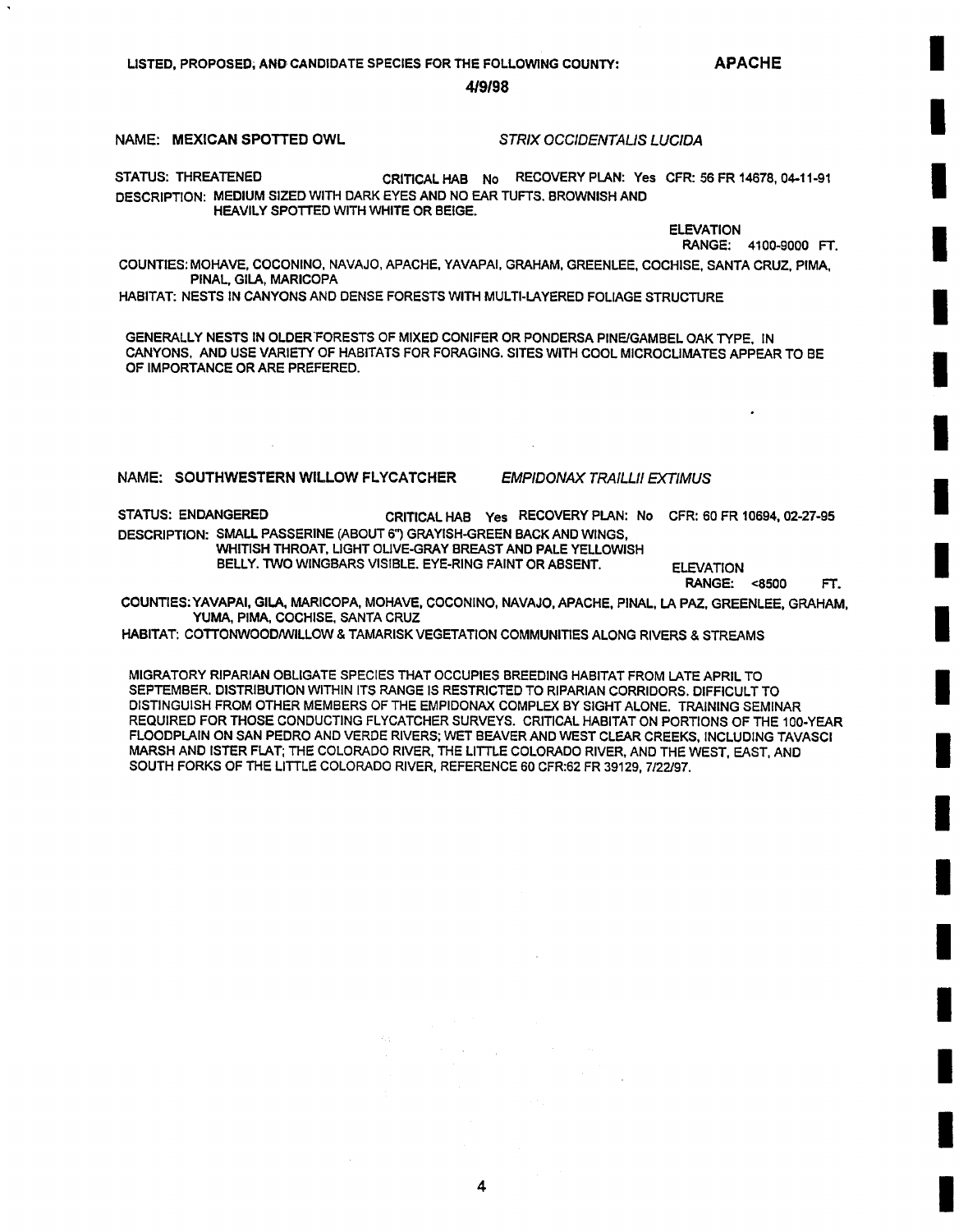**APACHE** 

**I** 

**i** 

**I** 

**I** 

**I** 

**I** 

**I** 

**I** 

**I** 

**I** 

**I** 

**I** 

**I** 

**I** 

**I** 

**I** 

**I** 

**I** 

**I** 

**4/9198** 

#### **NAME: MEXICAN SPOTTED OWL** *STRIX OCCIDENTALIS LUCIDA*

STATUS: THREATENED CRITICAL HAB No RECOVERY PLAN: Yes CFR: 56 FR 14678, 04-11-91 DESCRIPTION: MEDIUM SIZED WITH DARK EYES AND NO EAR TUFTS. BROWNISH AND HEAVILY SPOTTED WITH WHITE OR BEIGE.

> ELEVATION RANGE: 4100-9000 FT.

COUNTIES: MOHAVE, COCONINO, NAVAJO, APACHE, YAVAPAI, GRAHAM, GREENLEE, COCHISE, SANTA CRUZ, PIMA, PINAL, GILA, MARICOPA

HABITAT: NESTS IN CANYONS AND DENSE FORESTS WITH MULTI-LAYERED FOLIAGE STRUCTURE

GENERALLY NESTS IN OLDER FORESTS OF MIXED CONIFER OR PONDERSA PINE/GAMBEL OAK TYPE. IN CANYONS, AND USE VARIETY OF HABITATS FOR FORAGING. SITES WITH COOL MICROCLIMATES APPEAR TO BE OF IMPORTANCE OR ARE PREFERED.

### NAME: SOUTHWESTERN WILLOW FLYCATCHER *EMP/DONAX TRAILLII EXTIMUS*

STATUS: ENDANGERED CRITICAL HAB Yes RECOVERY PLAN: No CFR: 60 FR 10694, 02-27°95 DESCRIPTION: SMALL PASSERINE (ABOUT 6") GRAYISH-GREEN BACK AND WINGS, WHITISH THROAT, LIGHT OLIVE-GRAY BREAST AND PALE YELLOWISH BELLY. TWO WINGBARS VISIBLE. EYE-RING FAINT OR ABSENT. ELEVATION

**RANGE:** <8500 FT.

COUNTIES:YAVAPAI, GILA, MARICOPA, MOHAVE, CGCONINO, NAVAJO, APACHE, PINAL, LA PAZ, GREENLEE, GRAHAM, YUMA, PIMA, COCHISE, SANTA CRUZ

HABITAT: COTTONWOOD/WILLOW & TAMARISK VEGETATION COMMUNITIES ALONG RIVERS & STREAMS

MIGRATORY RIPARIAN OBLIGATE SPECIES THAT OCCUPIES BREEDING HABITAT FROM LATE APRIL TO SEPTEMBER. DISTRIBUTION WITHIN ITS RANGE IS RESTRICTED TO RIPARIAN CORRIDORS. DIFFICULT TO DISTINGUISH FROM OTHER MEMBERS OF THE EMPIDONAX COMPLEX BY SIGHT ALONE. TRAINING SEMINAR REQUIRED FOR THOSE CONDUCTING FLYCATCHER SURVEYS. CRITICAL HABITAT ON PORTIONS OF THE 100-YEAR FLOODPLAIN ON SAN PEDRO AND VERDE RIVERS; WET BEAVER AND WEST CLEAR CREEKS, INCLUDING TAVASCI MARSH AND ISTER FLAT; THE COLORADO RIVER, THE LITTLE COLORADO RIVER, AND THE WEST, EAST, AND SOUTH FORKS OF THE LITTLE COLORADO RIVER, REFERENCE 60 CFR:62 FR 39129, 7/22/97.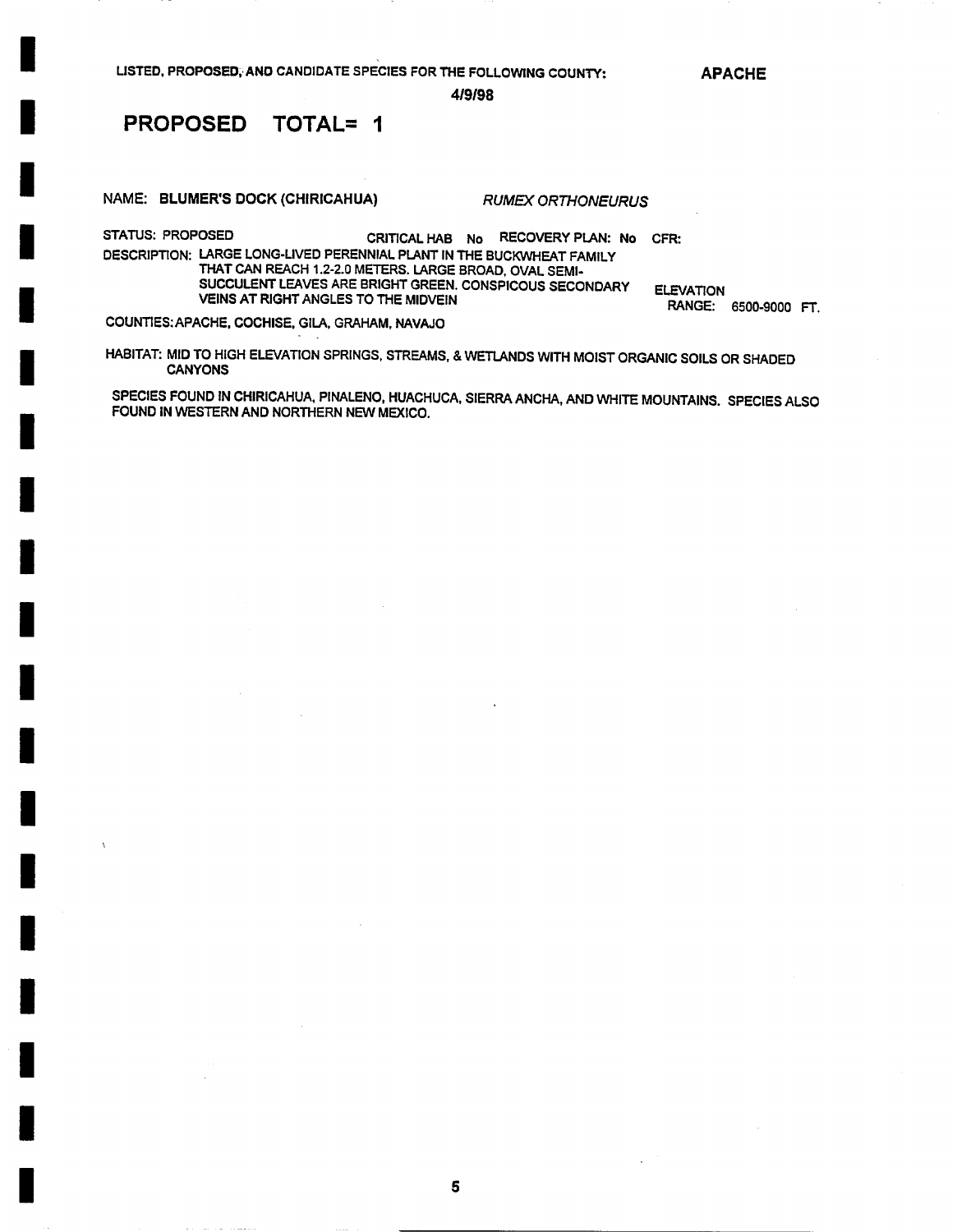APACHE

419/98

## PROPOSED TOTAL= 1

I

I

I

I

I

I

I

i

I

I

I

I

I

I

I

!

I

I

I

NAME: BLUMER'S DOCK(CHIRICAHUA) *RUMEX ORTHONEURUS* 

STATUS: PROPOSED CRITICAL HAB No RECOVERY PLAN: No CFR: DESCRIPTION: LARGE LONG-LIVED PERENNIAL PLANT IN THE BUCKWHEAT FAMILY THAT CAN REACH 1.2-2.0 METERS. LARGE BROAD, OVAL SEMI-SUCCULENT LEAVES ARE BRIGHT GREEN. CONSPICOUS SECONDARY VEINS AT RIGHT ANGLES TO THE MIDVEIN ELEVATION

RANGE: 6500-9000 FT.

COUNTIES:APACHE, COCHISE, GILA, GRAHAM, NAVAJO

HABITAT: MID TO HIGH ELEVATION SPRINGS, STREAMS, & WETLANDS WITH MOIST ORGANIC SOILS OR SHADED CANYONS

SPECIES FOUND IN CHIRICAHUA, PINALENO, HUACHUCA, SIERRA ANCHA, AND WHITE MOUNTAINS. SPECIES ALSO FOUND IN WESTERN AND NORTHERN NEW MEXICO.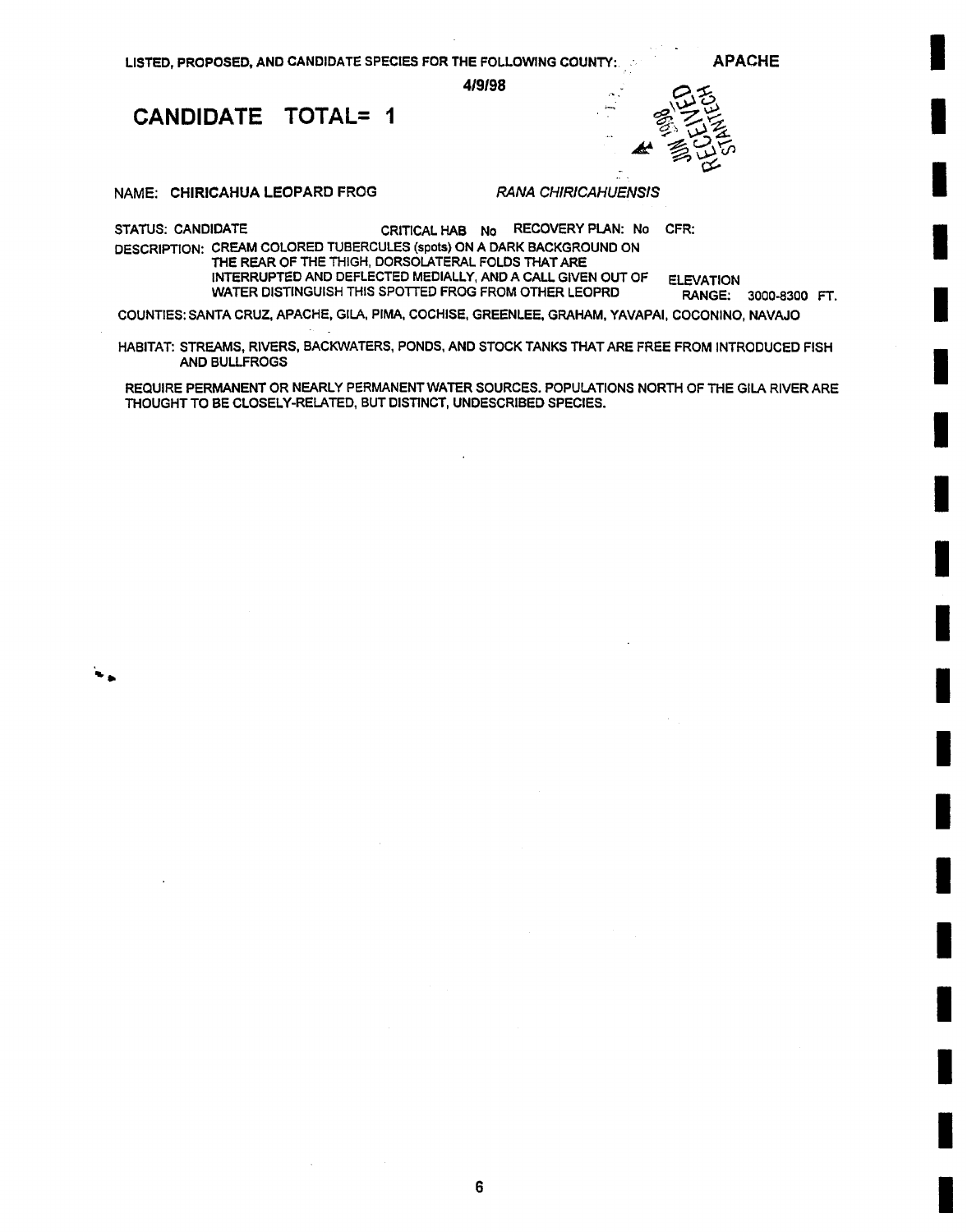APACHE

I

I

I

I

I

I

I

I

I

**!** 

I

I

I

I

I

I

I

I

I

419198

CANDIDATE TOTAL= 1



NAME: CHIRICAHUA LEOPARD FROG

*RANA CHIRICAHUENSIS* 

STATUS: CANDIDATE CRITICAL HAB No RECOVERY PLAN: No CFR: DESCRIPTION: CREAM COLORED TUBERCULES (spots) ON A DARK BACKGROUND ON THE REAR OF THE THIGH, DORSOLATERAL FOLDS THAT ARE INTERRUPTED AND DEFLECTED MEDIALLY, AND A CALL GIVEN OUT OF ELEVATION WATER DISTINGUISH THIS SPOTTED FROG FROM OTHER LEOPRD

RANGE: 3000-8300 FT.

COUNTIES: SANTA CRUZ, APACHE, GILA, PIMA, COCHISE, GREENLEE, GRAHAM, YAVAPAI, COCONINO, NAVAJO

HABITAT: STREAMS, RIVERS, BACKWATERS, PONDS, AND STOCK TANKS THAT ARE FREE FROM INTRODUCED FISH AND BULLFROGS

REQUIRE PERMANENT OR NEARLY PERMANENT WATER SOURCES. POPULATIONS NORTH OF THE GILA RIVER ARE THOUGHT TO BE CLOSELY-RELATED, BUT DISTINCT, UNDESCRIBED SPECIES.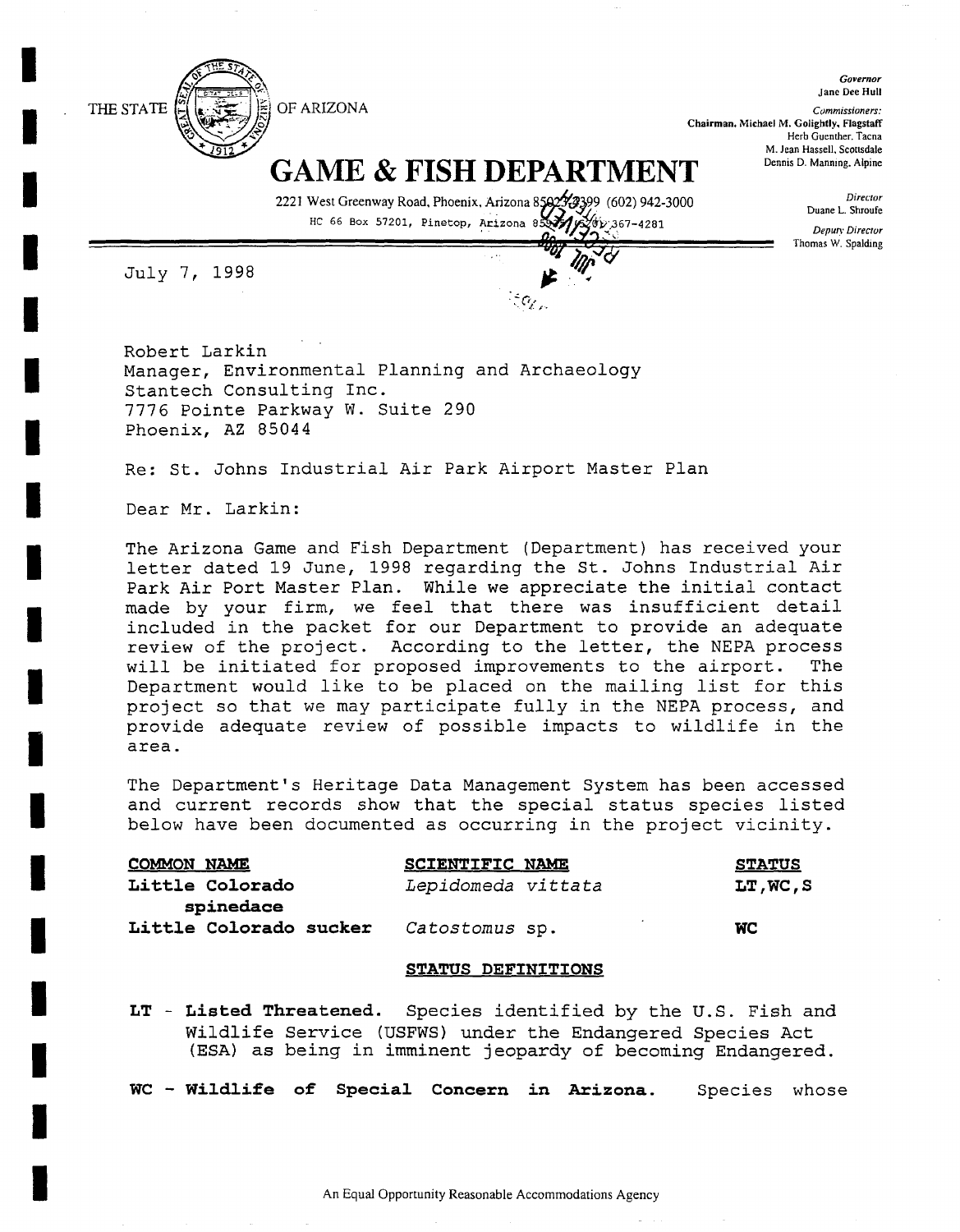

Jane Dee Hull *Commissioners:*  **Chairman, Michael M. Golightly, Flagstaff**  Herb Guenther. **Tacna**  M. Jean Hassell, Scottsdale Dennis D. Manning. Alpine

*Governor* 

*Director*  Duane L. Shroufe *Deputy Director*  Thomas W. **Spalding** 

# **GAME & FISH DEPARTMENT**

2221 West Greenway Road, Phoenix, Arizona 85823299 (602) 942-3000 HC 66 Box 57201, Pinetop, Arizona 85977/6200 367-4281

~-= **.** 

"LT,'] '" 'J '~

July 7, 1998

**I** 

**I** 

**I** 

**I** 

**I** 

**I** 

**I** 

**I** 

**I** 

**I** 

**I** 

**I** 

**I** 

**I** 

**I** 

**I** 

Robert Larkin Manager, Environmental Planning and Archaeology Stantech Consulting Inc. 7776 Pointe Parkway W. Suite 290 Phoenix, AZ 85044

Re: St. Johns Industrial Air Park Airport Master Plan

Dear Mr. Larkin:

The Arizona Game and Fish Department (Department) has received your letter dated 19 June, 1998 regarding the St. Johns Industrial Air Park Air Port Master Plan. While we appreciate the initial contact made by your firm, we feel that there was insufficient detail included in the packet for our Department to provide an adequate review of the project. According to the letter, the NEPA process will be initiated for proposed improvements to the airport. The Department would like to be placed on the mailing list for this project so that we may participate fully in the NEPA process, and provide adequate review of possible impacts to wildlife in the area.

The Department's Heritage Data Management System has been accessed and current records show that the special status species listed below have been documented as occurring in the project vicinity.

| <b>COMMON NAME</b>     | <b>SCIENTIFIC NAME</b> | <b>STATUS</b> |
|------------------------|------------------------|---------------|
| Little Colorado        | Lepidomeda vittata     | LT, WC, S     |
| spinedace              |                        |               |
| Little Colorado sucker | <i>Catostomus</i> sp.  | <b>WC</b>     |

### **STATUS DEFINITIONS**

LT - **Listed Threatened.** Species identified by the U.S. Fish and Wildlife Service (USFWS) under the Endangered Species Act (ESA) as being in imminent jeopardy of becoming Endangered.

**WC - Wildlife of Special Concern in Arizona.** Species whose